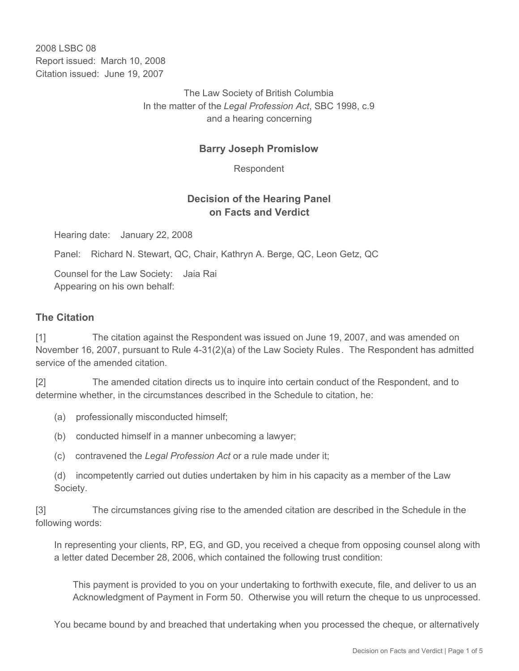2008 LSBC 08 Report issued: March 10, 2008 Citation issued: June 19, 2007

> The Law Society of British Columbia In the matter of the *Legal Profession Act*, SBC 1998, c.9 and a hearing concerning

### **Barry Joseph Promislow**

Respondent

## **Decision of the Hearing Panel on Facts and Verdict**

Hearing date: January 22, 2008

Panel: Richard N. Stewart, QC, Chair, Kathryn A. Berge, QC, Leon Getz, QC

Counsel for the Law Society: Jaia Rai Appearing on his own behalf:

#### **The Citation**

[1] The citation against the Respondent was issued on June 19, 2007, and was amended on November 16, 2007, pursuant to Rule 4-31(2)(a) of the Law Society Rules *.* The Respondent has admitted service of the amended citation.

[2] The amended citation directs us to inquire into certain conduct of the Respondent, and to determine whether, in the circumstances described in the Schedule to citation, he:

- (a) professionally misconducted himself;
- (b) conducted himself in a manner unbecoming a lawyer;
- (c) contravened the *Legal Profession Act* or a rule made under it;

(d) incompetently carried out duties undertaken by him in his capacity as a member of the Law Society.

[3] The circumstances giving rise to the amended citation are described in the Schedule in the following words:

In representing your clients, RP, EG, and GD, you received a cheque from opposing counsel along with a letter dated December 28, 2006, which contained the following trust condition:

This payment is provided to you on your undertaking to forthwith execute, file, and deliver to us an Acknowledgment of Payment in Form 50. Otherwise you will return the cheque to us unprocessed.

You became bound by and breached that undertaking when you processed the cheque, or alternatively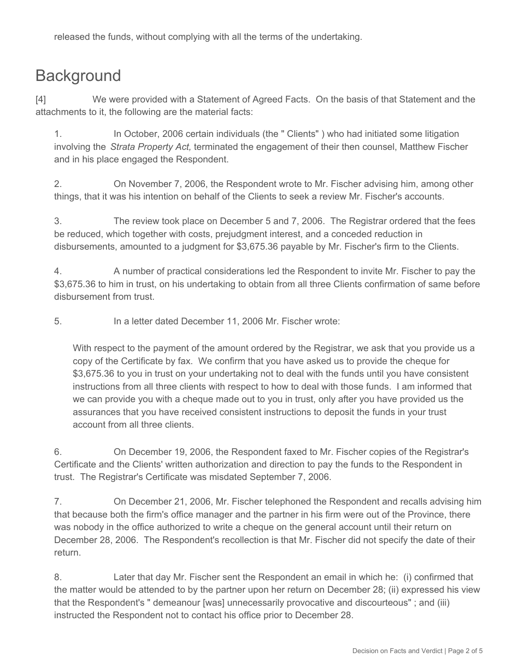released the funds, without complying with all the terms of the undertaking.

# **Background**

[4] We were provided with a Statement of Agreed Facts. On the basis of that Statement and the attachments to it, the following are the material facts:

1. In October, 2006 certain individuals (the " Clients" ) who had initiated some litigation involving the *Strata Property Act,* terminated the engagement of their then counsel, Matthew Fischer and in his place engaged the Respondent.

2. On November 7, 2006, the Respondent wrote to Mr. Fischer advising him, among other things, that it was his intention on behalf of the Clients to seek a review Mr. Fischer's accounts.

3. The review took place on December 5 and 7, 2006. The Registrar ordered that the fees be reduced, which together with costs, prejudgment interest, and a conceded reduction in disbursements, amounted to a judgment for \$3,675.36 payable by Mr. Fischer's firm to the Clients.

4. A number of practical considerations led the Respondent to invite Mr. Fischer to pay the \$3,675.36 to him in trust, on his undertaking to obtain from all three Clients confirmation of same before disbursement from trust.

5. In a letter dated December 11, 2006 Mr. Fischer wrote:

With respect to the payment of the amount ordered by the Registrar, we ask that you provide us a copy of the Certificate by fax. We confirm that you have asked us to provide the cheque for \$3,675.36 to you in trust on your undertaking not to deal with the funds until you have consistent instructions from all three clients with respect to how to deal with those funds. I am informed that we can provide you with a cheque made out to you in trust, only after you have provided us the assurances that you have received consistent instructions to deposit the funds in your trust account from all three clients.

6. On December 19, 2006, the Respondent faxed to Mr. Fischer copies of the Registrar's Certificate and the Clients' written authorization and direction to pay the funds to the Respondent in trust. The Registrar's Certificate was misdated September 7, 2006.

7. On December 21, 2006, Mr. Fischer telephoned the Respondent and recalls advising him that because both the firm's office manager and the partner in his firm were out of the Province, there was nobody in the office authorized to write a cheque on the general account until their return on December 28, 2006. The Respondent's recollection is that Mr. Fischer did not specify the date of their return.

8. Later that day Mr. Fischer sent the Respondent an email in which he: (i) confirmed that the matter would be attended to by the partner upon her return on December 28; (ii) expressed his view that the Respondent's " demeanour [was] unnecessarily provocative and discourteous" ; and (iii) instructed the Respondent not to contact his office prior to December 28.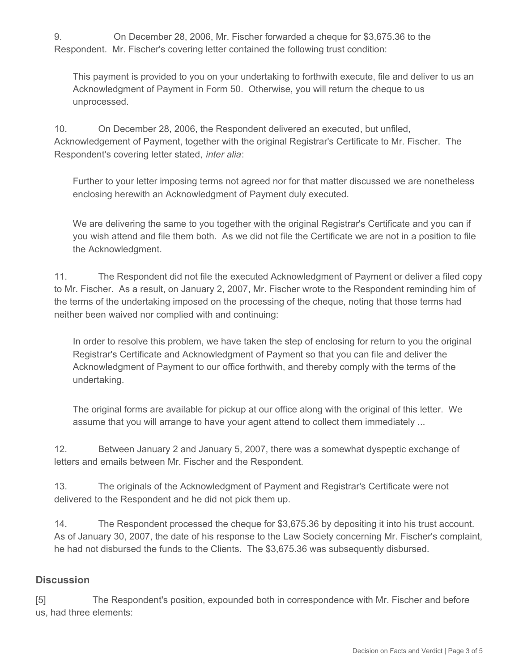9. On December 28, 2006, Mr. Fischer forwarded a cheque for \$3,675.36 to the Respondent. Mr. Fischer's covering letter contained the following trust condition:

This payment is provided to you on your undertaking to forthwith execute, file and deliver to us an Acknowledgment of Payment in Form 50. Otherwise, you will return the cheque to us unprocessed.

10. On December 28, 2006, the Respondent delivered an executed, but unfiled, Acknowledgement of Payment, together with the original Registrar's Certificate to Mr. Fischer. The Respondent's covering letter stated, *inter alia*:

Further to your letter imposing terms not agreed nor for that matter discussed we are nonetheless enclosing herewith an Acknowledgment of Payment duly executed.

We are delivering the same to you together with the original Registrar's Certificate and you can if you wish attend and file them both. As we did not file the Certificate we are not in a position to file the Acknowledgment.

11. The Respondent did not file the executed Acknowledgment of Payment or deliver a filed copy to Mr. Fischer. As a result, on January 2, 2007, Mr. Fischer wrote to the Respondent reminding him of the terms of the undertaking imposed on the processing of the cheque, noting that those terms had neither been waived nor complied with and continuing:

In order to resolve this problem, we have taken the step of enclosing for return to you the original Registrar's Certificate and Acknowledgment of Payment so that you can file and deliver the Acknowledgment of Payment to our office forthwith, and thereby comply with the terms of the undertaking.

The original forms are available for pickup at our office along with the original of this letter. We assume that you will arrange to have your agent attend to collect them immediately ...

12. Between January 2 and January 5, 2007, there was a somewhat dyspeptic exchange of letters and emails between Mr. Fischer and the Respondent.

13. The originals of the Acknowledgment of Payment and Registrar's Certificate were not delivered to the Respondent and he did not pick them up.

14. The Respondent processed the cheque for \$3,675.36 by depositing it into his trust account. As of January 30, 2007, the date of his response to the Law Society concerning Mr. Fischer's complaint, he had not disbursed the funds to the Clients. The \$3,675.36 was subsequently disbursed.

## **Discussion**

[5] The Respondent's position, expounded both in correspondence with Mr. Fischer and before us, had three elements: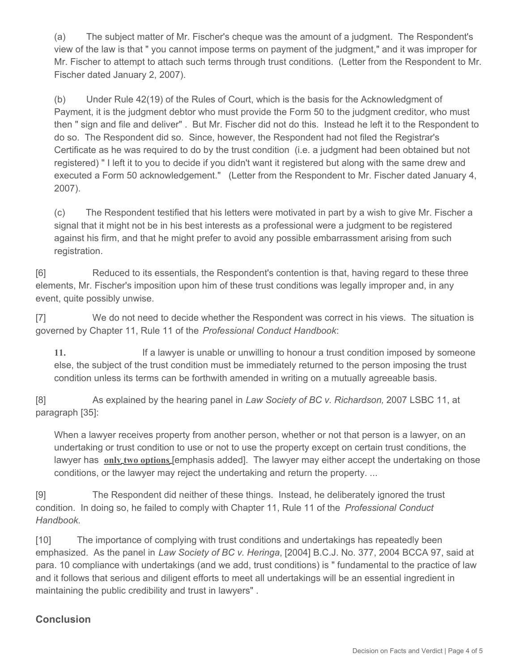(a) The subject matter of Mr. Fischer's cheque was the amount of a judgment. The Respondent's view of the law is that " you cannot impose terms on payment of the judgment," and it was improper for Mr. Fischer to attempt to attach such terms through trust conditions. (Letter from the Respondent to Mr. Fischer dated January 2, 2007).

(b) Under Rule 42(19) of the Rules of Court, which is the basis for the Acknowledgment of Payment, it is the judgment debtor who must provide the Form 50 to the judgment creditor, who must then " sign and file and deliver" . But Mr. Fischer did not do this. Instead he left it to the Respondent to do so. The Respondent did so. Since, however, the Respondent had not filed the Registrar's Certificate as he was required to do by the trust condition (i.e. a judgment had been obtained but not registered) " I left it to you to decide if you didn't want it registered but along with the same drew and executed a Form 50 acknowledgement." (Letter from the Respondent to Mr. Fischer dated January 4, 2007).

(c) The Respondent testified that his letters were motivated in part by a wish to give Mr. Fischer a signal that it might not be in his best interests as a professional were a judgment to be registered against his firm, and that he might prefer to avoid any possible embarrassment arising from such registration.

[6] Reduced to its essentials, the Respondent's contention is that, having regard to these three elements, Mr. Fischer's imposition upon him of these trust conditions was legally improper and, in any event, quite possibly unwise.

[7] We do not need to decide whether the Respondent was correct in his views. The situation is governed by Chapter 11, Rule 11 of the *Professional Conduct Handbook*:

**11.**  If a lawyer is unable or unwilling to honour a trust condition imposed by someone else, the subject of the trust condition must be immediately returned to the person imposing the trust condition unless its terms can be forthwith amended in writing on a mutually agreeable basis.

[8] As explained by the hearing panel in *Law Society of BC v. Richardson,* 2007 LSBC 11, at paragraph [35]:

When a lawyer receives property from another person, whether or not that person is a lawyer, on an undertaking or trust condition to use or not to use the property except on certain trust conditions, the lawyer has **only two options** [emphasis added]. The lawyer may either accept the undertaking on those conditions, or the lawyer may reject the undertaking and return the property. ...

[9] The Respondent did neither of these things. Instead, he deliberately ignored the trust condition. In doing so, he failed to comply with Chapter 11, Rule 11 of the *Professional Conduct Handbook*.

[10] The importance of complying with trust conditions and undertakings has repeatedly been emphasized. As the panel in *Law Society of BC v. Heringa*, [2004] B.C.J. No. 377, 2004 BCCA 97, said at para. 10 compliance with undertakings (and we add, trust conditions) is " fundamental to the practice of law and it follows that serious and diligent efforts to meet all undertakings will be an essential ingredient in maintaining the public credibility and trust in lawyers" .

## **Conclusion**